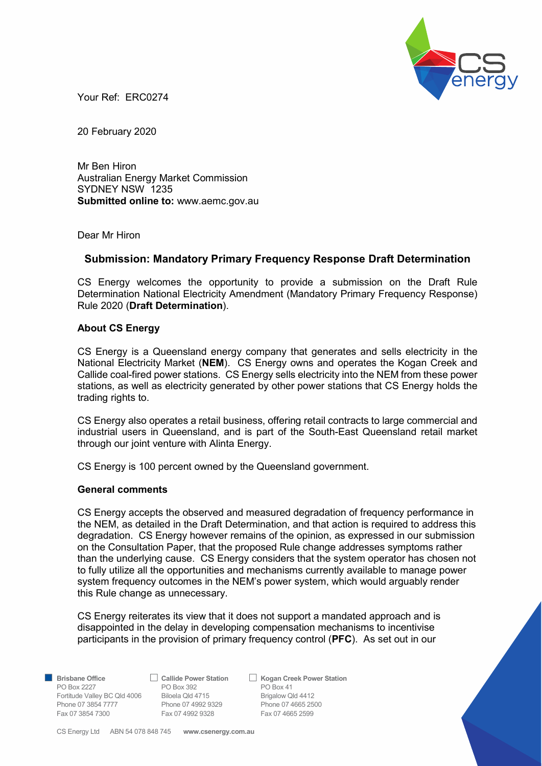

Your Ref: ERC0274

20 February 2020

Mr Ben Hiron Australian Energy Market Commission SYDNEY NSW 1235 Submitted online to: www.aemc.gov.au

Dear Mr Hiron

## Submission: Mandatory Primary Frequency Response Draft Determination

CS Energy welcomes the opportunity to provide a submission on the Draft Rule Determination National Electricity Amendment (Mandatory Primary Frequency Response) Rule 2020 (Draft Determination).

### About CS Energy

CS Energy is a Queensland energy company that generates and sells electricity in the National Electricity Market (NEM). CS Energy owns and operates the Kogan Creek and Callide coal-fired power stations. CS Energy sells electricity into the NEM from these power stations, as well as electricity generated by other power stations that CS Energy holds the trading rights to.

CS Energy also operates a retail business, offering retail contracts to large commercial and industrial users in Queensland, and is part of the South-East Queensland retail market through our joint venture with Alinta Energy.

CS Energy is 100 percent owned by the Queensland government.

### General comments

CS Energy accepts the observed and measured degradation of frequency performance in the NEM, as detailed in the Draft Determination, and that action is required to address this degradation. CS Energy however remains of the opinion, as expressed in our submission on the Consultation Paper, that the proposed Rule change addresses symptoms rather than the underlying cause. CS Energy considers that the system operator has chosen not to fully utilize all the opportunities and mechanisms currently available to manage power system frequency outcomes in the NEM's power system, which would arguably render this Rule change as unnecessary.

CS Energy reiterates its view that it does not support a mandated approach and is disappointed in the delay in developing compensation mechanisms to incentivise participants in the provision of primary frequency control (PFC). As set out in our

PO Box 2227 **PO Box 392** PO Box 41 Fortitude Valley BC Qld 4006 Biloela Qld 4715 Brigalow Qld 4412 Phone 07 3854 7777 Phone 07 4992 9329 Phone 07 4665 2500 Fax 07 3854 7300 Fax 07 4992 9328 Fax 07 4665 2599

Brisbane Office 
△ Callide Power Station △ Kogan Creek Power Station

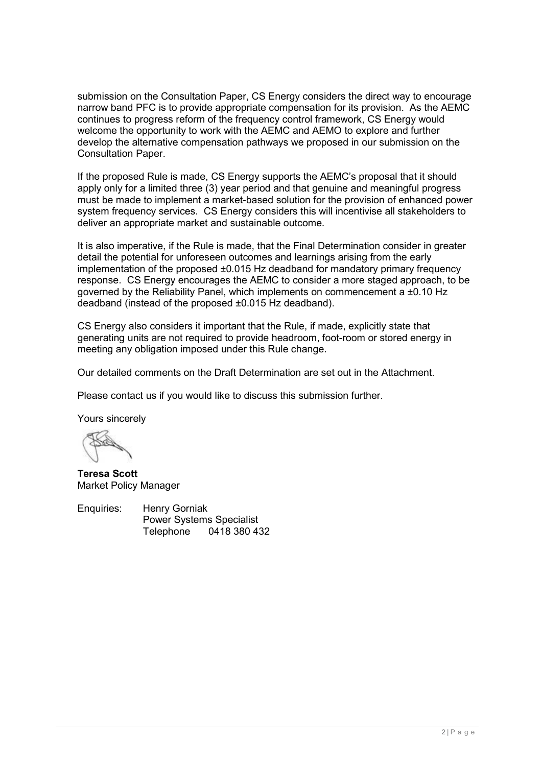submission on the Consultation Paper, CS Energy considers the direct way to encourage narrow band PFC is to provide appropriate compensation for its provision. As the AEMC continues to progress reform of the frequency control framework, CS Energy would welcome the opportunity to work with the AEMC and AEMO to explore and further develop the alternative compensation pathways we proposed in our submission on the Consultation Paper.

If the proposed Rule is made, CS Energy supports the AEMC's proposal that it should apply only for a limited three (3) year period and that genuine and meaningful progress must be made to implement a market-based solution for the provision of enhanced power system frequency services. CS Energy considers this will incentivise all stakeholders to deliver an appropriate market and sustainable outcome.

It is also imperative, if the Rule is made, that the Final Determination consider in greater detail the potential for unforeseen outcomes and learnings arising from the early implementation of the proposed ±0.015 Hz deadband for mandatory primary frequency response. CS Energy encourages the AEMC to consider a more staged approach, to be governed by the Reliability Panel, which implements on commencement a ±0.10 Hz deadband (instead of the proposed ±0.015 Hz deadband).

CS Energy also considers it important that the Rule, if made, explicitly state that generating units are not required to provide headroom, foot-room or stored energy in meeting any obligation imposed under this Rule change.

Our detailed comments on the Draft Determination are set out in the Attachment.

Please contact us if you would like to discuss this submission further.

Yours sincerely

Teresa Scott Market Policy Manager

Enquiries: Henry Gorniak Power Systems Specialist Telephone 0418 380 432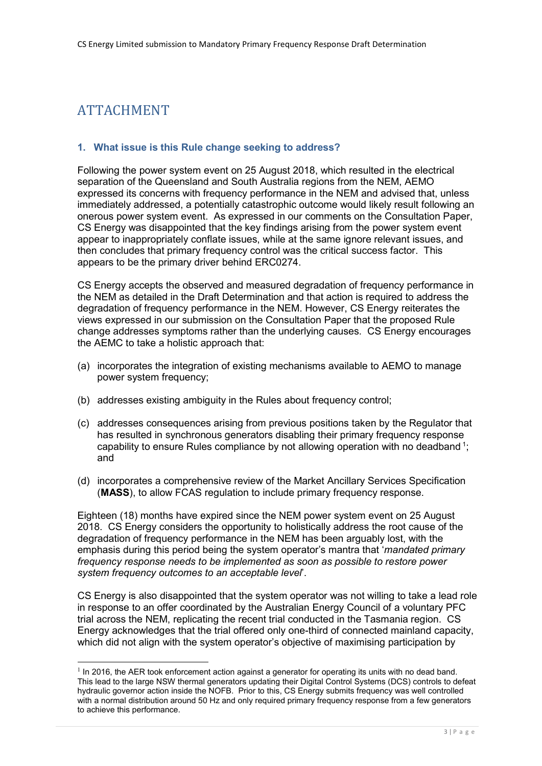# ATTACHMENT

-

## 1. What issue is this Rule change seeking to address?

Following the power system event on 25 August 2018, which resulted in the electrical separation of the Queensland and South Australia regions from the NEM, AEMO expressed its concerns with frequency performance in the NEM and advised that, unless immediately addressed, a potentially catastrophic outcome would likely result following an onerous power system event. As expressed in our comments on the Consultation Paper, CS Energy was disappointed that the key findings arising from the power system event appear to inappropriately conflate issues, while at the same ignore relevant issues, and then concludes that primary frequency control was the critical success factor. This appears to be the primary driver behind ERC0274.

CS Energy accepts the observed and measured degradation of frequency performance in the NEM as detailed in the Draft Determination and that action is required to address the degradation of frequency performance in the NEM. However, CS Energy reiterates the views expressed in our submission on the Consultation Paper that the proposed Rule change addresses symptoms rather than the underlying causes. CS Energy encourages the AEMC to take a holistic approach that:

- (a) incorporates the integration of existing mechanisms available to AEMO to manage power system frequency;
- (b) addresses existing ambiguity in the Rules about frequency control;
- (c) addresses consequences arising from previous positions taken by the Regulator that has resulted in synchronous generators disabling their primary frequency response capability to ensure Rules compliance by not allowing operation with no deadband  $\frac{1}{1}$ ; and
- (d) incorporates a comprehensive review of the Market Ancillary Services Specification (MASS), to allow FCAS regulation to include primary frequency response.

Eighteen (18) months have expired since the NEM power system event on 25 August 2018. CS Energy considers the opportunity to holistically address the root cause of the degradation of frequency performance in the NEM has been arguably lost, with the emphasis during this period being the system operator's mantra that 'mandated primary frequency response needs to be implemented as soon as possible to restore power system frequency outcomes to an acceptable level'.

CS Energy is also disappointed that the system operator was not willing to take a lead role in response to an offer coordinated by the Australian Energy Council of a voluntary PFC trial across the NEM, replicating the recent trial conducted in the Tasmania region. CS Energy acknowledges that the trial offered only one-third of connected mainland capacity, which did not align with the system operator's objective of maximising participation by

 $<sup>1</sup>$  In 2016, the AER took enforcement action against a generator for operating its units with no dead band.</sup> This lead to the large NSW thermal generators updating their Digital Control Systems (DCS) controls to defeat hydraulic governor action inside the NOFB. Prior to this, CS Energy submits frequency was well controlled with a normal distribution around 50 Hz and only required primary frequency response from a few generators to achieve this performance.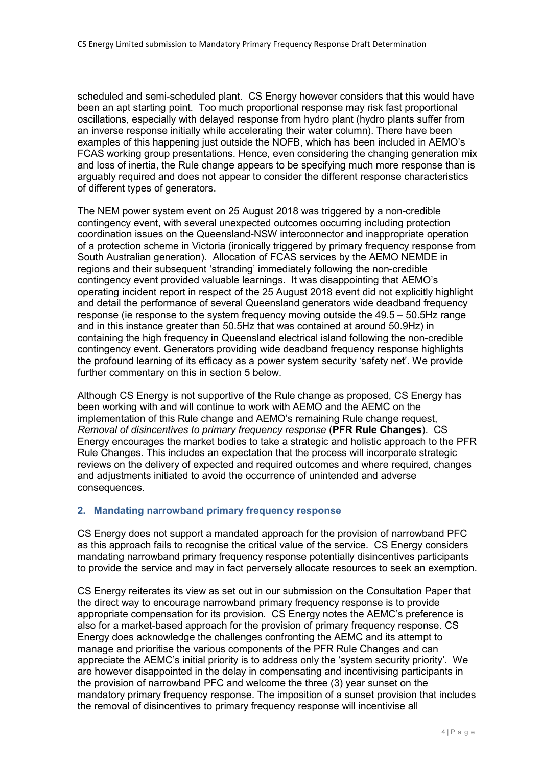scheduled and semi-scheduled plant. CS Energy however considers that this would have been an apt starting point. Too much proportional response may risk fast proportional oscillations, especially with delayed response from hydro plant (hydro plants suffer from an inverse response initially while accelerating their water column). There have been examples of this happening just outside the NOFB, which has been included in AEMO's FCAS working group presentations. Hence, even considering the changing generation mix and loss of inertia, the Rule change appears to be specifying much more response than is arguably required and does not appear to consider the different response characteristics of different types of generators.

The NEM power system event on 25 August 2018 was triggered by a non-credible contingency event, with several unexpected outcomes occurring including protection coordination issues on the Queensland-NSW interconnector and inappropriate operation of a protection scheme in Victoria (ironically triggered by primary frequency response from South Australian generation). Allocation of FCAS services by the AEMO NEMDE in regions and their subsequent 'stranding' immediately following the non-credible contingency event provided valuable learnings. It was disappointing that AEMO's operating incident report in respect of the 25 August 2018 event did not explicitly highlight and detail the performance of several Queensland generators wide deadband frequency response (ie response to the system frequency moving outside the 49.5 – 50.5Hz range and in this instance greater than 50.5Hz that was contained at around 50.9Hz) in containing the high frequency in Queensland electrical island following the non-credible contingency event. Generators providing wide deadband frequency response highlights the profound learning of its efficacy as a power system security 'safety net'. We provide further commentary on this in section 5 below.

Although CS Energy is not supportive of the Rule change as proposed, CS Energy has been working with and will continue to work with AEMO and the AEMC on the implementation of this Rule change and AEMO's remaining Rule change request, Removal of disincentives to primary frequency response (PFR Rule Changes). CS Energy encourages the market bodies to take a strategic and holistic approach to the PFR Rule Changes. This includes an expectation that the process will incorporate strategic reviews on the delivery of expected and required outcomes and where required, changes and adjustments initiated to avoid the occurrence of unintended and adverse consequences.

### 2. Mandating narrowband primary frequency response

CS Energy does not support a mandated approach for the provision of narrowband PFC as this approach fails to recognise the critical value of the service. CS Energy considers mandating narrowband primary frequency response potentially disincentives participants to provide the service and may in fact perversely allocate resources to seek an exemption.

CS Energy reiterates its view as set out in our submission on the Consultation Paper that the direct way to encourage narrowband primary frequency response is to provide appropriate compensation for its provision. CS Energy notes the AEMC's preference is also for a market-based approach for the provision of primary frequency response. CS Energy does acknowledge the challenges confronting the AEMC and its attempt to manage and prioritise the various components of the PFR Rule Changes and can appreciate the AEMC's initial priority is to address only the 'system security priority'. We are however disappointed in the delay in compensating and incentivising participants in the provision of narrowband PFC and welcome the three (3) year sunset on the mandatory primary frequency response. The imposition of a sunset provision that includes the removal of disincentives to primary frequency response will incentivise all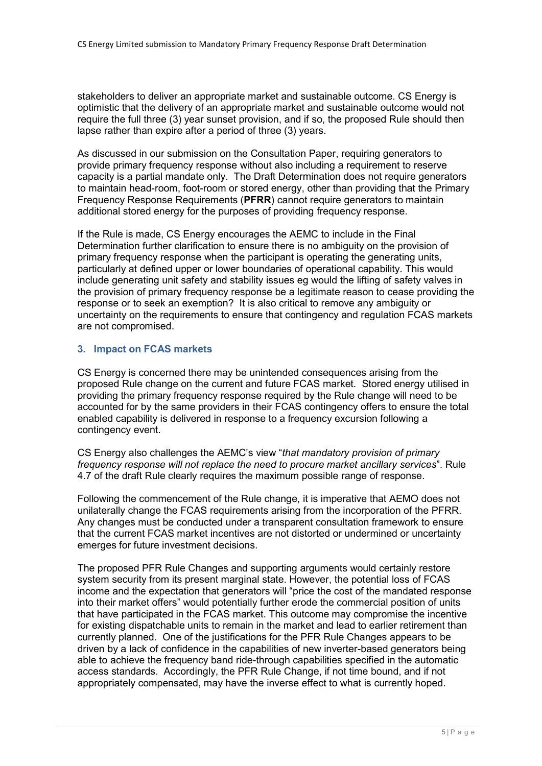stakeholders to deliver an appropriate market and sustainable outcome. CS Energy is optimistic that the delivery of an appropriate market and sustainable outcome would not require the full three (3) year sunset provision, and if so, the proposed Rule should then lapse rather than expire after a period of three (3) years.

As discussed in our submission on the Consultation Paper, requiring generators to provide primary frequency response without also including a requirement to reserve capacity is a partial mandate only. The Draft Determination does not require generators to maintain head-room, foot-room or stored energy, other than providing that the Primary Frequency Response Requirements (PFRR) cannot require generators to maintain additional stored energy for the purposes of providing frequency response.

If the Rule is made, CS Energy encourages the AEMC to include in the Final Determination further clarification to ensure there is no ambiguity on the provision of primary frequency response when the participant is operating the generating units, particularly at defined upper or lower boundaries of operational capability. This would include generating unit safety and stability issues eg would the lifting of safety valves in the provision of primary frequency response be a legitimate reason to cease providing the response or to seek an exemption? It is also critical to remove any ambiguity or uncertainty on the requirements to ensure that contingency and regulation FCAS markets are not compromised.

## 3. Impact on FCAS markets

CS Energy is concerned there may be unintended consequences arising from the proposed Rule change on the current and future FCAS market. Stored energy utilised in providing the primary frequency response required by the Rule change will need to be accounted for by the same providers in their FCAS contingency offers to ensure the total enabled capability is delivered in response to a frequency excursion following a contingency event.

CS Energy also challenges the AEMC's view "that mandatory provision of primary frequency response will not replace the need to procure market ancillary services". Rule 4.7 of the draft Rule clearly requires the maximum possible range of response.

Following the commencement of the Rule change, it is imperative that AEMO does not unilaterally change the FCAS requirements arising from the incorporation of the PFRR. Any changes must be conducted under a transparent consultation framework to ensure that the current FCAS market incentives are not distorted or undermined or uncertainty emerges for future investment decisions.

The proposed PFR Rule Changes and supporting arguments would certainly restore system security from its present marginal state. However, the potential loss of FCAS income and the expectation that generators will "price the cost of the mandated response into their market offers" would potentially further erode the commercial position of units that have participated in the FCAS market. This outcome may compromise the incentive for existing dispatchable units to remain in the market and lead to earlier retirement than currently planned. One of the justifications for the PFR Rule Changes appears to be driven by a lack of confidence in the capabilities of new inverter-based generators being able to achieve the frequency band ride-through capabilities specified in the automatic access standards. Accordingly, the PFR Rule Change, if not time bound, and if not appropriately compensated, may have the inverse effect to what is currently hoped.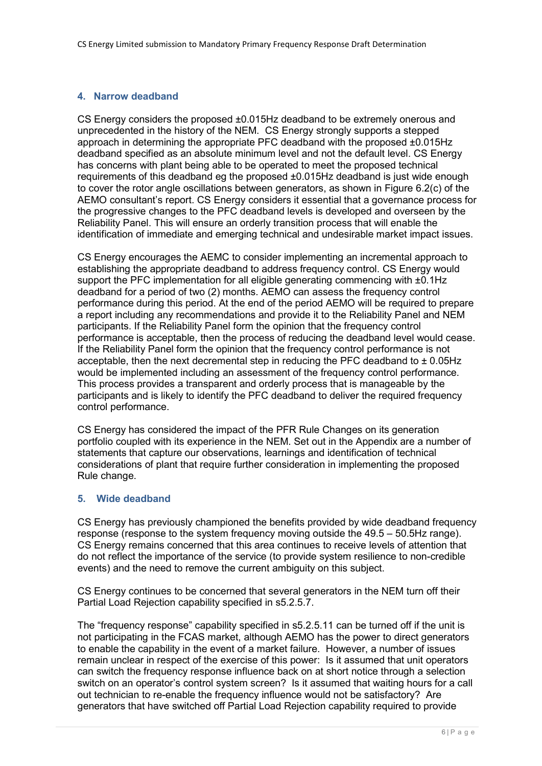## 4. Narrow deadband

CS Energy considers the proposed ±0.015Hz deadband to be extremely onerous and unprecedented in the history of the NEM. CS Energy strongly supports a stepped approach in determining the appropriate PFC deadband with the proposed ±0.015Hz deadband specified as an absolute minimum level and not the default level. CS Energy has concerns with plant being able to be operated to meet the proposed technical requirements of this deadband eg the proposed ±0.015Hz deadband is just wide enough to cover the rotor angle oscillations between generators, as shown in Figure 6.2(c) of the AEMO consultant's report. CS Energy considers it essential that a governance process for the progressive changes to the PFC deadband levels is developed and overseen by the Reliability Panel. This will ensure an orderly transition process that will enable the identification of immediate and emerging technical and undesirable market impact issues.

CS Energy encourages the AEMC to consider implementing an incremental approach to establishing the appropriate deadband to address frequency control. CS Energy would support the PFC implementation for all eligible generating commencing with  $\pm 0.1$ Hz deadband for a period of two (2) months. AEMO can assess the frequency control performance during this period. At the end of the period AEMO will be required to prepare a report including any recommendations and provide it to the Reliability Panel and NEM participants. If the Reliability Panel form the opinion that the frequency control performance is acceptable, then the process of reducing the deadband level would cease. If the Reliability Panel form the opinion that the frequency control performance is not acceptable, then the next decremental step in reducing the PFC deadband to  $\pm$  0.05Hz would be implemented including an assessment of the frequency control performance. This process provides a transparent and orderly process that is manageable by the participants and is likely to identify the PFC deadband to deliver the required frequency control performance.

CS Energy has considered the impact of the PFR Rule Changes on its generation portfolio coupled with its experience in the NEM. Set out in the Appendix are a number of statements that capture our observations, learnings and identification of technical considerations of plant that require further consideration in implementing the proposed Rule change.

### 5. Wide deadband

CS Energy has previously championed the benefits provided by wide deadband frequency response (response to the system frequency moving outside the 49.5 – 50.5Hz range). CS Energy remains concerned that this area continues to receive levels of attention that do not reflect the importance of the service (to provide system resilience to non-credible events) and the need to remove the current ambiguity on this subject.

CS Energy continues to be concerned that several generators in the NEM turn off their Partial Load Rejection capability specified in s5.2.5.7.

The "frequency response" capability specified in s5.2.5.11 can be turned off if the unit is not participating in the FCAS market, although AEMO has the power to direct generators to enable the capability in the event of a market failure. However, a number of issues remain unclear in respect of the exercise of this power: Is it assumed that unit operators can switch the frequency response influence back on at short notice through a selection switch on an operator's control system screen? Is it assumed that waiting hours for a call out technician to re-enable the frequency influence would not be satisfactory? Are generators that have switched off Partial Load Rejection capability required to provide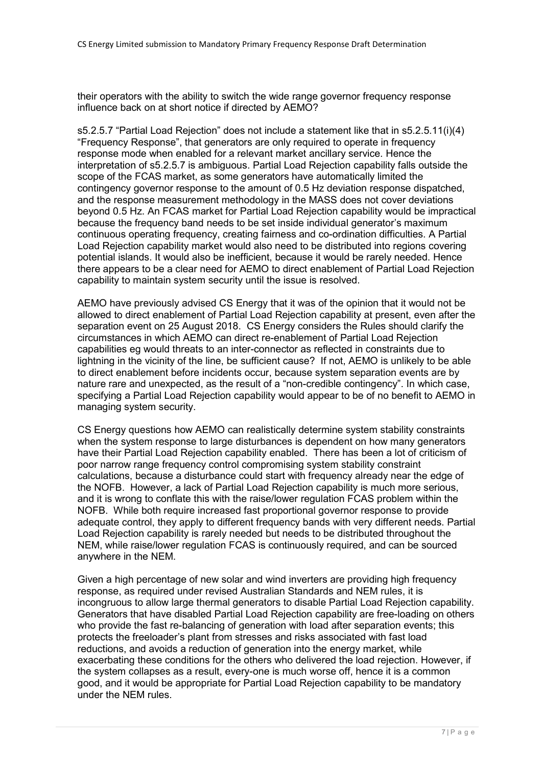their operators with the ability to switch the wide range governor frequency response influence back on at short notice if directed by AEMO?

s5.2.5.7 "Partial Load Rejection" does not include a statement like that in s5.2.5.11(i)(4) "Frequency Response", that generators are only required to operate in frequency response mode when enabled for a relevant market ancillary service. Hence the interpretation of s5.2.5.7 is ambiguous. Partial Load Rejection capability falls outside the scope of the FCAS market, as some generators have automatically limited the contingency governor response to the amount of 0.5 Hz deviation response dispatched, and the response measurement methodology in the MASS does not cover deviations beyond 0.5 Hz. An FCAS market for Partial Load Rejection capability would be impractical because the frequency band needs to be set inside individual generator's maximum continuous operating frequency, creating fairness and co-ordination difficulties. A Partial Load Rejection capability market would also need to be distributed into regions covering potential islands. It would also be inefficient, because it would be rarely needed. Hence there appears to be a clear need for AEMO to direct enablement of Partial Load Rejection capability to maintain system security until the issue is resolved.

AEMO have previously advised CS Energy that it was of the opinion that it would not be allowed to direct enablement of Partial Load Rejection capability at present, even after the separation event on 25 August 2018. CS Energy considers the Rules should clarify the circumstances in which AEMO can direct re-enablement of Partial Load Rejection capabilities eg would threats to an inter-connector as reflected in constraints due to lightning in the vicinity of the line, be sufficient cause? If not, AEMO is unlikely to be able to direct enablement before incidents occur, because system separation events are by nature rare and unexpected, as the result of a "non-credible contingency". In which case, specifying a Partial Load Rejection capability would appear to be of no benefit to AEMO in managing system security.

CS Energy questions how AEMO can realistically determine system stability constraints when the system response to large disturbances is dependent on how many generators have their Partial Load Rejection capability enabled. There has been a lot of criticism of poor narrow range frequency control compromising system stability constraint calculations, because a disturbance could start with frequency already near the edge of the NOFB. However, a lack of Partial Load Rejection capability is much more serious, and it is wrong to conflate this with the raise/lower regulation FCAS problem within the NOFB. While both require increased fast proportional governor response to provide adequate control, they apply to different frequency bands with very different needs. Partial Load Rejection capability is rarely needed but needs to be distributed throughout the NEM, while raise/lower regulation FCAS is continuously required, and can be sourced anywhere in the NEM.

Given a high percentage of new solar and wind inverters are providing high frequency response, as required under revised Australian Standards and NEM rules, it is incongruous to allow large thermal generators to disable Partial Load Rejection capability. Generators that have disabled Partial Load Rejection capability are free-loading on others who provide the fast re-balancing of generation with load after separation events; this protects the freeloader's plant from stresses and risks associated with fast load reductions, and avoids a reduction of generation into the energy market, while exacerbating these conditions for the others who delivered the load rejection. However, if the system collapses as a result, every-one is much worse off, hence it is a common good, and it would be appropriate for Partial Load Rejection capability to be mandatory under the NEM rules.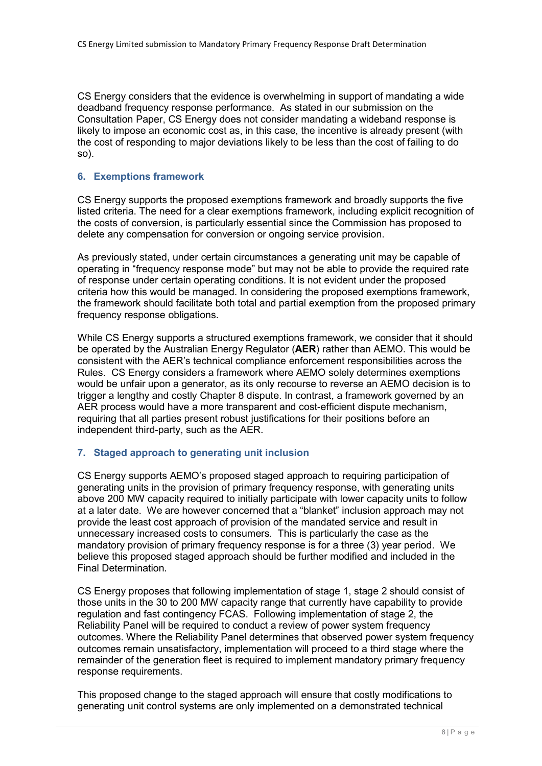CS Energy considers that the evidence is overwhelming in support of mandating a wide deadband frequency response performance. As stated in our submission on the Consultation Paper, CS Energy does not consider mandating a wideband response is likely to impose an economic cost as, in this case, the incentive is already present (with the cost of responding to major deviations likely to be less than the cost of failing to do so).

### 6. Exemptions framework

CS Energy supports the proposed exemptions framework and broadly supports the five listed criteria. The need for a clear exemptions framework, including explicit recognition of the costs of conversion, is particularly essential since the Commission has proposed to delete any compensation for conversion or ongoing service provision.

As previously stated, under certain circumstances a generating unit may be capable of operating in "frequency response mode" but may not be able to provide the required rate of response under certain operating conditions. It is not evident under the proposed criteria how this would be managed. In considering the proposed exemptions framework, the framework should facilitate both total and partial exemption from the proposed primary frequency response obligations.

While CS Energy supports a structured exemptions framework, we consider that it should be operated by the Australian Energy Regulator (**AER**) rather than AEMO. This would be consistent with the AER's technical compliance enforcement responsibilities across the Rules. CS Energy considers a framework where AEMO solely determines exemptions would be unfair upon a generator, as its only recourse to reverse an AEMO decision is to trigger a lengthy and costly Chapter 8 dispute. In contrast, a framework governed by an AER process would have a more transparent and cost-efficient dispute mechanism, requiring that all parties present robust justifications for their positions before an independent third-party, such as the AER.

## 7. Staged approach to generating unit inclusion

CS Energy supports AEMO's proposed staged approach to requiring participation of generating units in the provision of primary frequency response, with generating units above 200 MW capacity required to initially participate with lower capacity units to follow at a later date. We are however concerned that a "blanket" inclusion approach may not provide the least cost approach of provision of the mandated service and result in unnecessary increased costs to consumers. This is particularly the case as the mandatory provision of primary frequency response is for a three (3) year period. We believe this proposed staged approach should be further modified and included in the Final Determination.

CS Energy proposes that following implementation of stage 1, stage 2 should consist of those units in the 30 to 200 MW capacity range that currently have capability to provide regulation and fast contingency FCAS. Following implementation of stage 2, the Reliability Panel will be required to conduct a review of power system frequency outcomes. Where the Reliability Panel determines that observed power system frequency outcomes remain unsatisfactory, implementation will proceed to a third stage where the remainder of the generation fleet is required to implement mandatory primary frequency response requirements.

This proposed change to the staged approach will ensure that costly modifications to generating unit control systems are only implemented on a demonstrated technical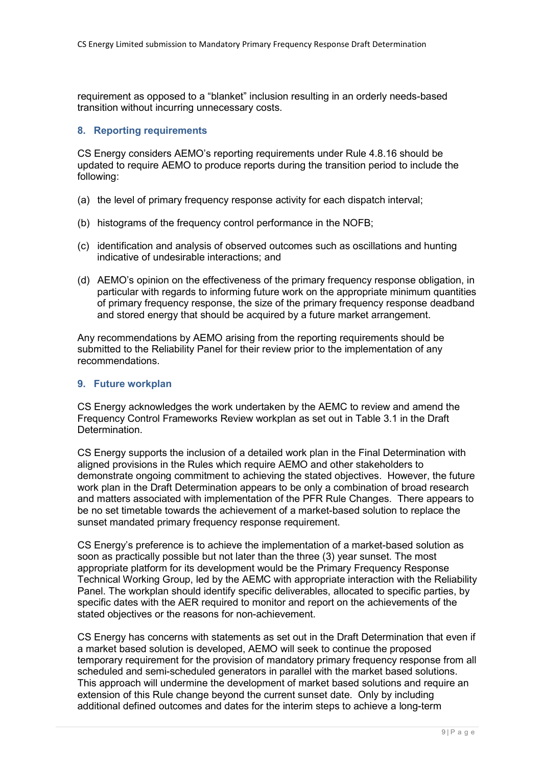requirement as opposed to a "blanket" inclusion resulting in an orderly needs-based transition without incurring unnecessary costs.

## 8. Reporting requirements

CS Energy considers AEMO's reporting requirements under Rule 4.8.16 should be updated to require AEMO to produce reports during the transition period to include the following:

- (a) the level of primary frequency response activity for each dispatch interval;
- (b) histograms of the frequency control performance in the NOFB;
- (c) identification and analysis of observed outcomes such as oscillations and hunting indicative of undesirable interactions; and
- (d) AEMO's opinion on the effectiveness of the primary frequency response obligation, in particular with regards to informing future work on the appropriate minimum quantities of primary frequency response, the size of the primary frequency response deadband and stored energy that should be acquired by a future market arrangement.

Any recommendations by AEMO arising from the reporting requirements should be submitted to the Reliability Panel for their review prior to the implementation of any recommendations.

### 9. Future workplan

CS Energy acknowledges the work undertaken by the AEMC to review and amend the Frequency Control Frameworks Review workplan as set out in Table 3.1 in the Draft Determination.

CS Energy supports the inclusion of a detailed work plan in the Final Determination with aligned provisions in the Rules which require AEMO and other stakeholders to demonstrate ongoing commitment to achieving the stated objectives. However, the future work plan in the Draft Determination appears to be only a combination of broad research and matters associated with implementation of the PFR Rule Changes. There appears to be no set timetable towards the achievement of a market-based solution to replace the sunset mandated primary frequency response requirement.

CS Energy's preference is to achieve the implementation of a market-based solution as soon as practically possible but not later than the three (3) year sunset. The most appropriate platform for its development would be the Primary Frequency Response Technical Working Group, led by the AEMC with appropriate interaction with the Reliability Panel. The workplan should identify specific deliverables, allocated to specific parties, by specific dates with the AER required to monitor and report on the achievements of the stated objectives or the reasons for non-achievement.

CS Energy has concerns with statements as set out in the Draft Determination that even if a market based solution is developed, AEMO will seek to continue the proposed temporary requirement for the provision of mandatory primary frequency response from all scheduled and semi-scheduled generators in parallel with the market based solutions. This approach will undermine the development of market based solutions and require an extension of this Rule change beyond the current sunset date. Only by including additional defined outcomes and dates for the interim steps to achieve a long-term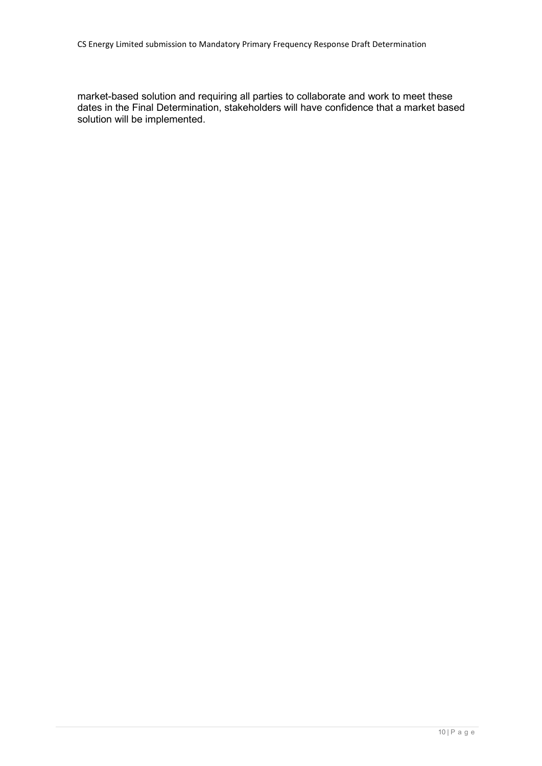market-based solution and requiring all parties to collaborate and work to meet these dates in the Final Determination, stakeholders will have confidence that a market based solution will be implemented.